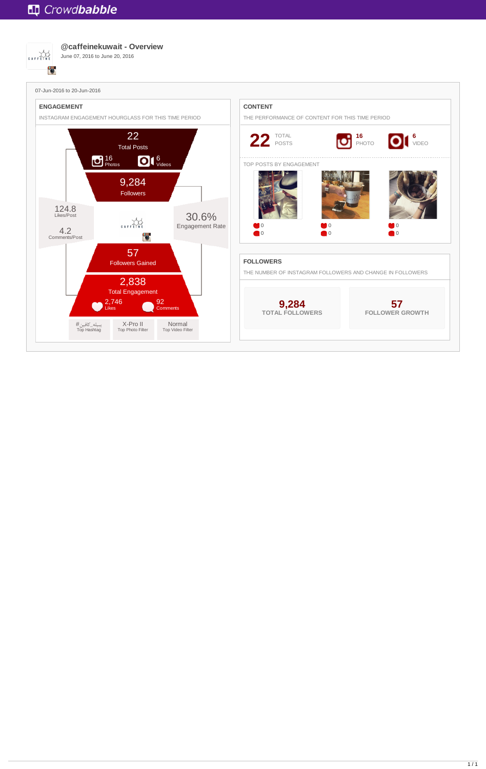



**@caffeinekuwait - Overview**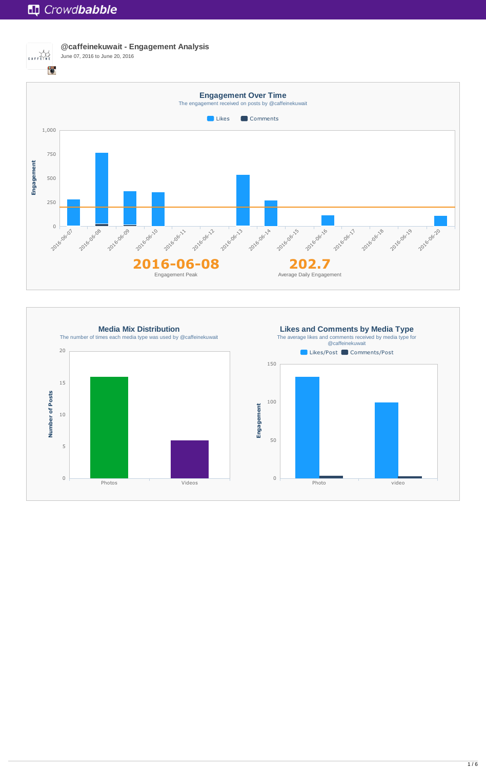

**@caffeinekuwait - Engagement Analysis** June 07, 2016 to June 20, 2016

**Media Mix Distribution** The number of times each media type was used by @caffeinekuwait 20 15 Number of Posts **Number of Posts** 10 5 0 Photos **Videos** 



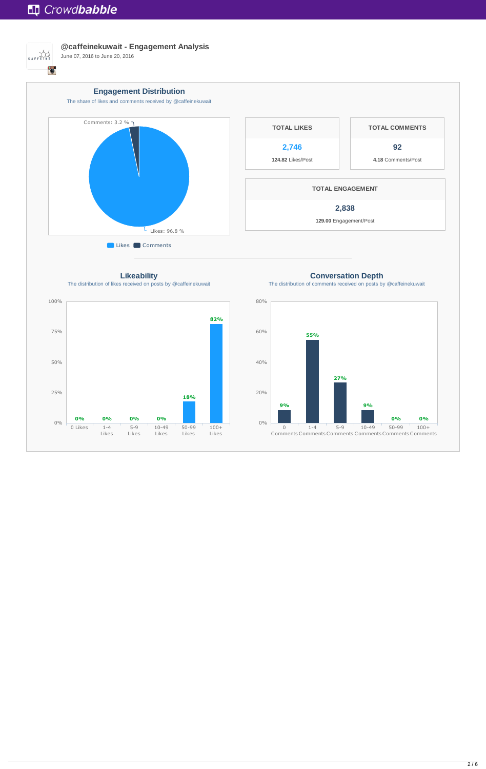

**@caffeinekuwait - Engagement Analysis**



**Likeability** The distribution of likes received on posts by @caffeinekuwait





**Conversation Depth**

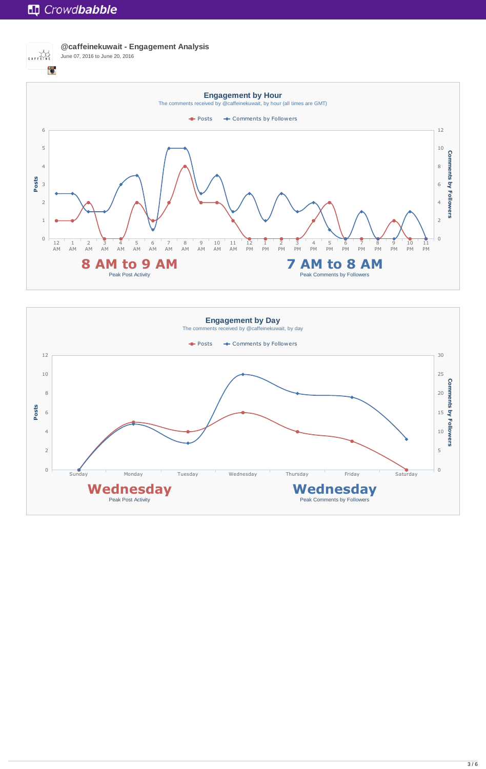

**@caffeinekuwait - Engagement Analysis** June 07, 2016 to June 20, 2016



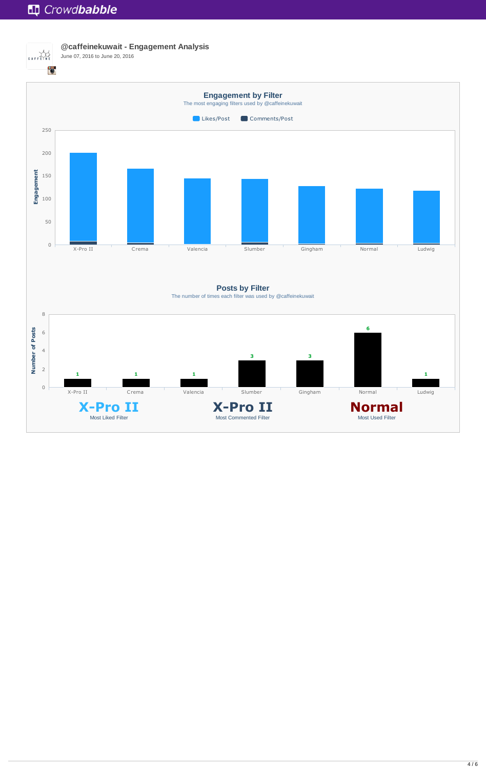

**@caffeinekuwait - Engagement Analysis**

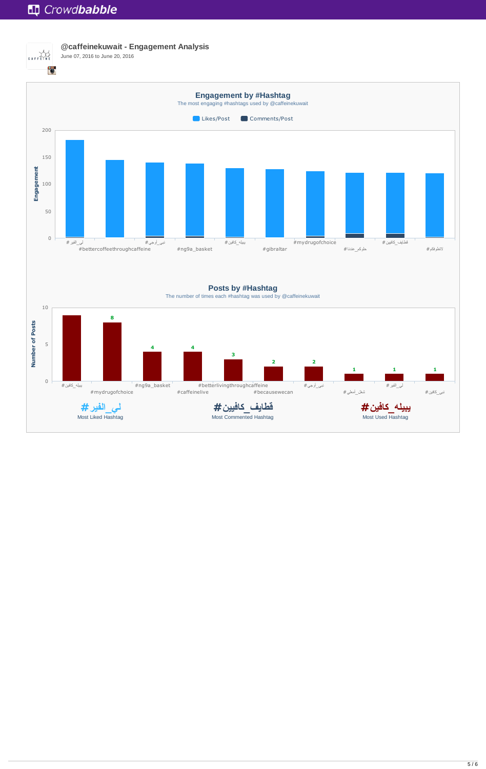

**@caffeinekuwait - Engagement Analysis**





The number of times each #hashtag was used by @caffeinekuwait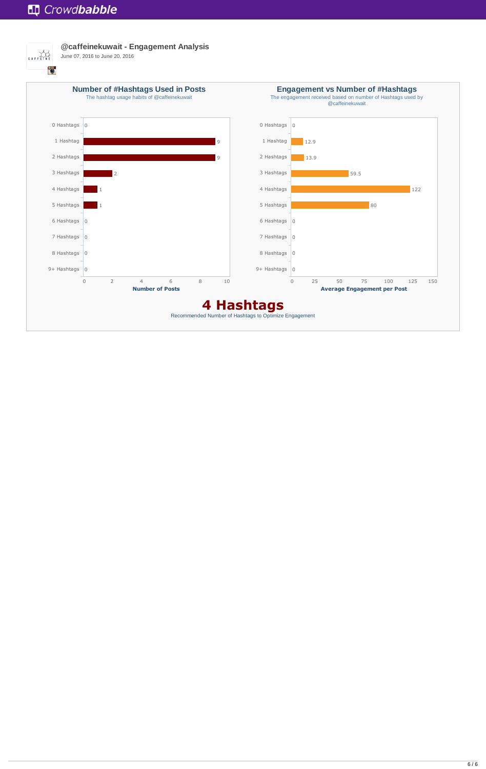

**@caffeinekuwait - Engagement Analysis**

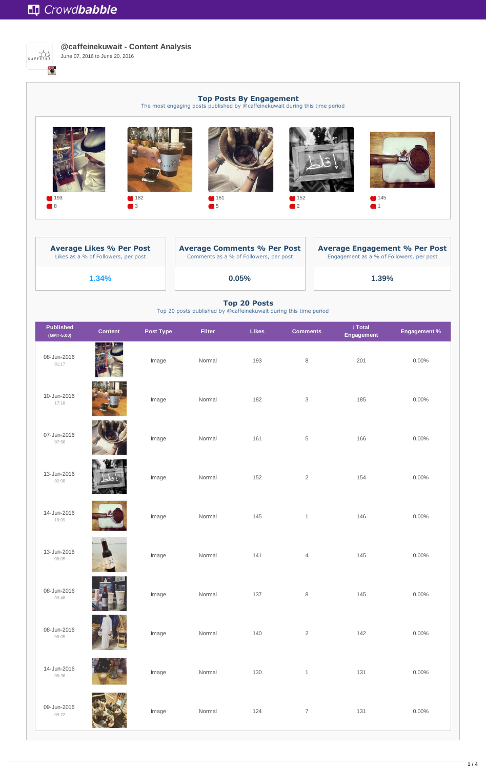

| <b>Average Likes % Per Post</b>     | <b>Average Comments % Per Post</b>     | <b>Average Engagement % Per Post</b>     |  |  |
|-------------------------------------|----------------------------------------|------------------------------------------|--|--|
| Likes as a % of Followers, per post | Comments as a % of Followers, per post | Engagement as a % of Followers, per post |  |  |
| 1.34%                               | $0.05\%$                               | 1.39%                                    |  |  |



**@caffeinekuwait - Content Analysis** June 07, 2016 to June 20, 2016

> **Top Posts By Engagement** The most engaging posts published by @caffeinekuwait during this time period

#### **Top 20 Posts**

Top 20 posts published by @caffeinekuwait during this time period

| <b>Published</b><br>(GMT-5:00) | <b>Content</b> | <b>Post Type</b> | <b>Filter</b> | <b>Likes</b> | <b>Comments</b> | ↓ Total<br><b>Engagement</b> | <b>Engagement %</b> |
|--------------------------------|----------------|------------------|---------------|--------------|-----------------|------------------------------|---------------------|
| 08-Jun-2016<br>01:17           |                | Image            | Normal        | 193          | 8               | 201                          | $0.00\%$            |
| 10-Jun-2016<br>17:18           |                | Image            | Normal        | 182          | 3               | 185                          | $0.00\%$            |
| 07-Jun-2016<br>07:56           |                | Image            | Normal        | 161          | 5               | 166                          | $0.00\%$            |
| 13-Jun-2016<br>02:08           |                | Image            | Normal        | 152          | $\overline{2}$  | 154                          | $0.00\%$            |
| 14-Jun-2016<br>10.00           |                | Image            | Normal        | 145          | $\mathbf{1}$    | 146                          | $0.00\%$            |

16:09



13-Jun-2016 08:05

08-Jun-2016 09:48

08-Jun-2016 08:05

|     | Image | Normal | 124 | $\overline{7}$ | 131 | $0.00\%$ |
|-----|-------|--------|-----|----------------|-----|----------|
|     | Image | Normal | 130 | $\mathbf 1$    | 131 | $0.00\%$ |
| 7   | Image | Normal | 140 | $\sqrt{2}$     | 142 | $0.00\%$ |
|     | Image | Normal | 137 | $\, 8$         | 145 | $0.00\%$ |
| St. | Image | Normal | 141 | $\overline{4}$ | 145 | $0.00\%$ |

14-Jun-2016 05:36

09-Jun-2016 09:22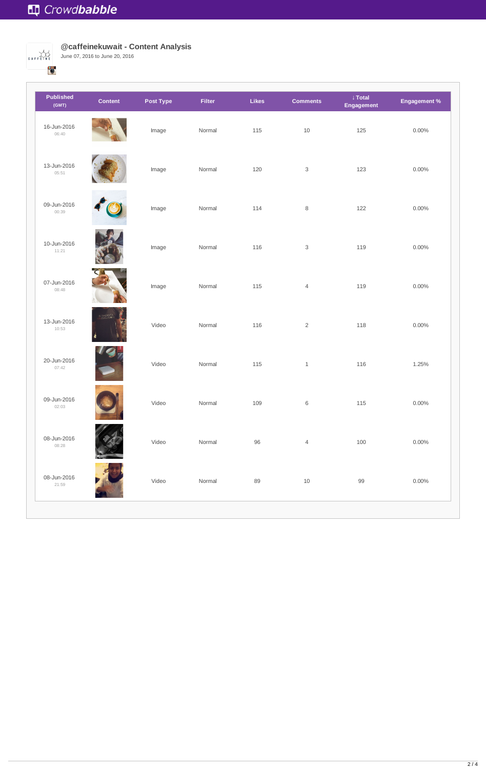

**@caffeinekuwait - Content Analysis**

| <b>Published</b><br>(GMT) | <b>Content</b> | <b>Post Type</b> | <b>Filter</b> | Likes  | <b>Comments</b>           | ↓ Total<br><b>Engagement</b> | <b>Engagement %</b> |
|---------------------------|----------------|------------------|---------------|--------|---------------------------|------------------------------|---------------------|
| 16-Jun-2016<br>06:40      |                | Image            | Normal        | 115    | $10$                      | 125                          | $0.00\%$            |
| 13-Jun-2016<br>05:51      |                | Image            | Normal        | 120    | $\ensuremath{\mathsf{3}}$ | 123                          | $0.00\%$            |
| 09-Jun-2016<br>00:39      |                | Image            | Normal        | 114    | $\, 8$                    | 122                          | $0.00\%$            |
| 10-Jun-2016<br>11:21      |                | Image            | Normal        | 116    | $\ensuremath{\mathsf{3}}$ | 119                          | $0.00\%$            |
| 07-Jun-2016<br>08:48      |                | Image            | Normal        | 115    | $\overline{4}$            | 119                          | $0.00\%$            |
| 13-Jun-2016<br>10:53      | ATCHOAG & P    | Video            | Normal        | 116    | $\sqrt{2}$                | 118                          | $0.00\%$            |
| 20-Jun-2016<br>07:42      |                | Video            | Normal        | 115    | $\,1\,$                   | 116                          | 1.25%               |
| 09-Jun-2016<br>02:03      |                | Video            | Normal        | 109    | $\,6\,$                   | 115                          | $0.00\%$            |
| 08-Jun-2016<br>08:28      |                | Video            | Normal        | $96\,$ | $\overline{4}$            | 100                          | $0.00\%$            |
| 08-Jun-2016<br>21:59      |                | Video            | Normal        | 89     | 10                        | 99                           | $0.00\%$            |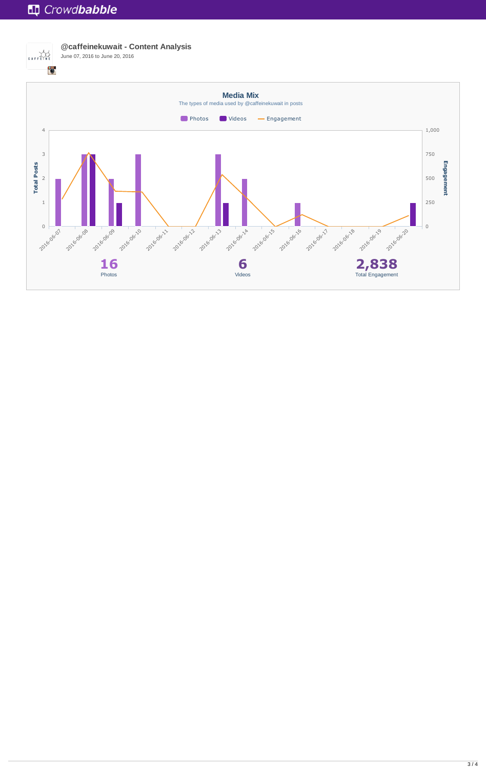# **Tup** Crowdbabble



**@caffeinekuwait - Content Analysis** June 07, 2016 to June 20, 2016